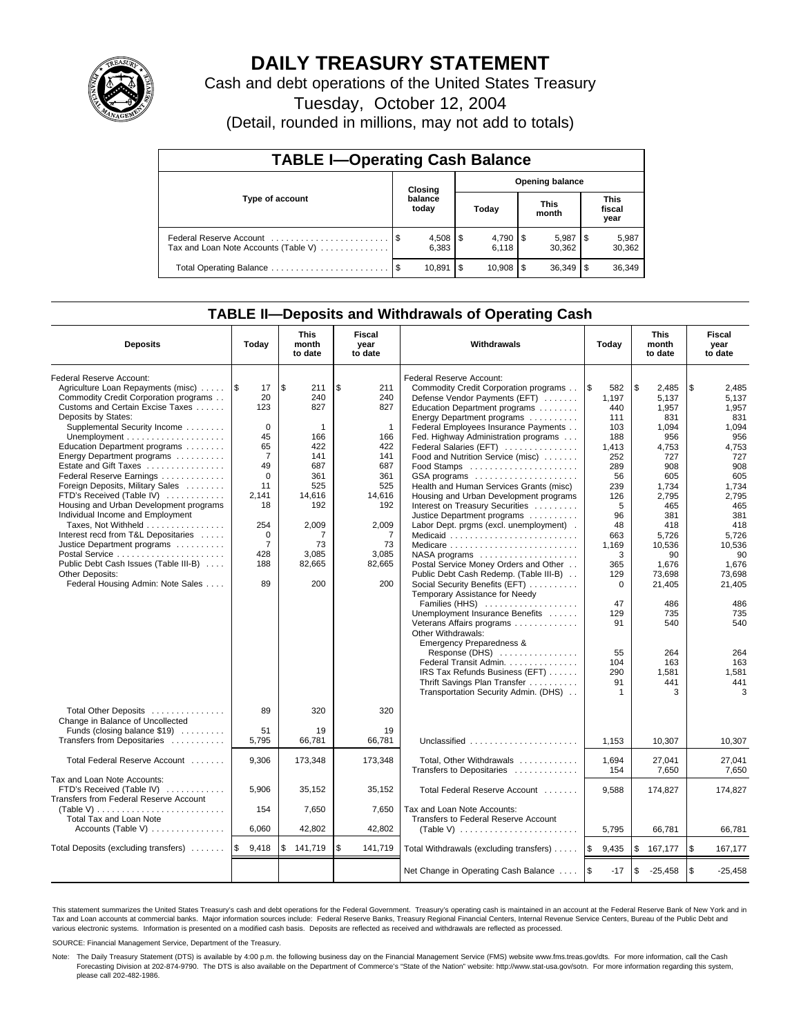

## **DAILY TREASURY STATEMENT**

Cash and debt operations of the United States Treasury

Tuesday, October 12, 2004

(Detail, rounded in millions, may not add to totals)

| <b>TABLE I-Operating Cash Balance</b> |         |                       |                        |                        |  |                        |  |                               |  |
|---------------------------------------|---------|-----------------------|------------------------|------------------------|--|------------------------|--|-------------------------------|--|
|                                       | Closing |                       | <b>Opening balance</b> |                        |  |                        |  |                               |  |
| Type of account                       |         | balance<br>today      |                        | Today                  |  | <b>This</b><br>month   |  | <b>This</b><br>fiscal<br>year |  |
| Tax and Loan Note Accounts (Table V)  |         | $4,508$   \$<br>6,383 |                        | $4,790$ \ \$<br>6.118  |  | $5,987$ \\$<br>30.362  |  | 5,987<br>30,362               |  |
|                                       |         | 10.891                | 1\$                    | $10.908$ $\frac{1}{3}$ |  | $36.349$ $\frac{1}{3}$ |  | 36,349                        |  |

### **TABLE II—Deposits and Withdrawals of Operating Cash**

| <b>Deposits</b>                                             | Today          | <b>This</b><br>month<br>to date | <b>Fiscal</b><br>year<br>to date | Withdrawals                                          | Today         | <b>This</b><br>month<br>to date | <b>Fiscal</b><br>year<br>to date |
|-------------------------------------------------------------|----------------|---------------------------------|----------------------------------|------------------------------------------------------|---------------|---------------------------------|----------------------------------|
| Federal Reserve Account:                                    |                |                                 |                                  | Federal Reserve Account:                             |               |                                 |                                  |
| Agriculture Loan Repayments (misc)                          | <b>S</b><br>17 | \$<br>211                       | \$<br>211                        | Commodity Credit Corporation programs                | 1\$<br>582    | \$<br>2,485                     | \$<br>2,485                      |
| Commodity Credit Corporation programs                       | 20             | 240                             | 240                              | Defense Vendor Payments (EFT)                        | 1.197         | 5.137                           | 5.137                            |
| Customs and Certain Excise Taxes                            | 123            | 827                             | 827                              | Education Department programs                        | 440           | 1.957                           | 1.957                            |
| Deposits by States:                                         |                |                                 |                                  | Energy Department programs                           | 111           | 831                             | 831                              |
| Supplemental Security Income                                | $\Omega$       | 1                               | $\mathbf{1}$                     | Federal Employees Insurance Payments                 | 103           | 1,094                           | 1,094                            |
|                                                             | 45             | 166                             | 166                              | Fed. Highway Administration programs                 | 188           | 956                             | 956                              |
| Education Department programs                               | 65             | 422                             | 422                              | Federal Salaries (EFT)                               | 1,413         | 4,753                           | 4,753                            |
| Energy Department programs                                  | $\overline{7}$ | 141                             | 141                              | Food and Nutrition Service (misc)                    | 252           | 727                             | 727                              |
| Estate and Gift Taxes                                       | 49             | 687                             | 687                              |                                                      | 289           | 908                             | 908                              |
| Federal Reserve Earnings                                    | $\Omega$       | 361                             | 361                              | GSA programs                                         | 56            | 605                             | 605                              |
| Foreign Deposits, Military Sales                            | 11             | 525                             | 525                              | Health and Human Services Grants (misc)              | 239           | 1.734                           | 1,734                            |
| FTD's Received (Table IV)                                   | 2.141          | 14.616                          | 14.616                           | Housing and Urban Development programs               | 126           | 2,795                           | 2,795                            |
| Housing and Urban Development programs                      | 18             | 192                             | 192                              | Interest on Treasury Securities                      | 5             | 465                             | 465                              |
| Individual Income and Employment                            |                |                                 |                                  | Justice Department programs                          | 96            | 381                             | 381                              |
| Taxes, Not Withheld                                         | 254            | 2,009                           | 2,009                            | Labor Dept. prgms (excl. unemployment).              | 48            | 418                             | 418                              |
| Interest recd from T&L Depositaries                         | $\mathbf 0$    | 7                               | 7                                | Medicaid                                             | 663           | 5,726                           | 5,726                            |
| Justice Department programs                                 | $\overline{7}$ | 73                              | 73                               | Medicare                                             | 1,169         | 10,536                          | 10,536                           |
|                                                             | 428            | 3,085                           | 3,085                            | $NASA$ programs $\ldots \ldots \ldots \ldots \ldots$ | 3             | 90                              | 90                               |
| Public Debt Cash Issues (Table III-B)                       | 188            | 82.665                          | 82,665                           | Postal Service Money Orders and Other                | 365           | 1,676                           | 1,676                            |
| Other Deposits:                                             |                |                                 |                                  | Public Debt Cash Redemp. (Table III-B)               | 129           | 73,698                          | 73,698                           |
| Federal Housing Admin: Note Sales                           | 89             | 200                             | 200                              | Social Security Benefits (EFT)                       | 0             | 21,405                          | 21,405                           |
|                                                             |                |                                 |                                  | Temporary Assistance for Needy                       |               |                                 |                                  |
|                                                             |                |                                 |                                  | Families (HHS)                                       | 47            | 486                             | 486                              |
|                                                             |                |                                 |                                  | Unemployment Insurance Benefits                      | 129           | 735                             | 735                              |
|                                                             |                |                                 |                                  | Veterans Affairs programs                            | 91            | 540                             | 540                              |
|                                                             |                |                                 |                                  | Other Withdrawals:                                   |               |                                 |                                  |
|                                                             |                |                                 |                                  | <b>Emergency Preparedness &amp;</b>                  |               |                                 |                                  |
|                                                             |                |                                 |                                  | Response $(DHS)$                                     | 55            | 264                             | 264                              |
|                                                             |                |                                 |                                  | Federal Transit Admin.                               | 104           | 163                             | 163                              |
|                                                             |                |                                 |                                  | IRS Tax Refunds Business (EFT)                       | 290           | 1,581                           | 1,581                            |
|                                                             |                |                                 |                                  | Thrift Savings Plan Transfer                         | 91            | 441                             | 441                              |
|                                                             |                |                                 |                                  | Transportation Security Admin. (DHS)                 | 1             | 3                               | 3                                |
|                                                             |                |                                 |                                  |                                                      |               |                                 |                                  |
| Total Other Deposits                                        | 89             | 320                             | 320                              |                                                      |               |                                 |                                  |
| Change in Balance of Uncollected                            | 51             | 19                              | 19                               |                                                      |               |                                 |                                  |
| Funds (closing balance \$19)<br>Transfers from Depositaries | 5.795          | 66,781                          | 66.781                           | Unclassified                                         |               |                                 |                                  |
|                                                             |                |                                 |                                  |                                                      | 1,153         | 10,307                          | 10,307                           |
| Total Federal Reserve Account                               | 9,306          | 173,348                         | 173,348                          | Total, Other Withdrawals                             | 1,694         | 27,041                          | 27,041                           |
|                                                             |                |                                 |                                  | Transfers to Depositaries                            | 154           | 7,650                           | 7,650                            |
| Tax and Loan Note Accounts:                                 |                |                                 |                                  |                                                      |               |                                 |                                  |
| FTD's Received (Table IV)                                   | 5,906          | 35,152                          | 35,152                           | Total Federal Reserve Account                        | 9.588         | 174.827                         | 174.827                          |
| <b>Transfers from Federal Reserve Account</b>               |                |                                 |                                  |                                                      |               |                                 |                                  |
| (Table V)                                                   | 154            | 7,650                           | 7,650                            | Tax and Loan Note Accounts:                          |               |                                 |                                  |
| Total Tax and Loan Note                                     |                |                                 |                                  | Transfers to Federal Reserve Account                 |               |                                 |                                  |
| Accounts (Table V) $\dots \dots \dots \dots$                | 6,060          | 42,802                          | 42,802                           |                                                      | 5,795         | 66,781                          | 66,781                           |
|                                                             |                |                                 |                                  |                                                      |               |                                 |                                  |
| Total Deposits (excluding transfers)                        | ۱\$<br>9,418   | \$<br>141,719                   | \$<br>141,719                    | Total Withdrawals (excluding transfers)              | ا \$<br>9,435 | \$<br>167,177                   | \$<br>167,177                    |
|                                                             |                |                                 |                                  |                                                      |               |                                 |                                  |
|                                                             |                |                                 |                                  | Net Change in Operating Cash Balance                 | l \$<br>$-17$ | \$<br>$-25,458$                 | \$<br>$-25,458$                  |

This statement summarizes the United States Treasury's cash and debt operations for the Federal Government. Treasury's operating cash is maintained in an account at the Federal Reserve Bank of New York and in Tax and Loan accounts at commercial banks. Major information sources include: Federal Reserve Banks, Treasury Regional Financial Centers, Internal Revenue Service Centers, Bureau of the Public Debt and<br>various electronic s

SOURCE: Financial Management Service, Department of the Treasury.

Note: The Daily Treasury Statement (DTS) is available by 4:00 p.m. the following business day on the Financial Management Service (FMS) website www.fms.treas.gov/dts. For more information, call the Cash Forecasting Division at 202-874-9790. The DTS is also available on the Department of Commerce's "State of the Nation" website: http://www.stat-usa.gov/sotn. For more information regarding this system, please call 202-482-1986.